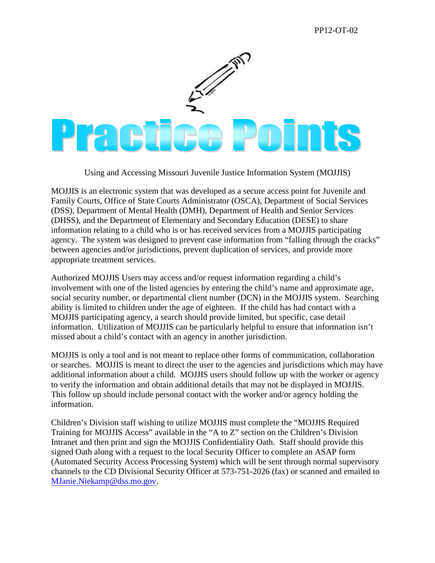## PP12-OT-02



Using and Accessing Missouri Juvenile Justice Information System (MOJJIS)

MOJJIS is an electronic system that was developed as a secure access point for Juvenile and Family Courts, Office of State Courts Administrator (OSCA), Department of Social Services (DSS), Department of Mental Health (DMH), Department of Health and Senior Services (DHSS), and the Department of Elementary and Secondary Education (DESE) to share information relating to a child who is or has received services from a MOJJIS participating agency. The system was designed to prevent case information from "falling through the cracks" between agencies and/or jurisdictions, prevent duplication of services, and provide more appropriate treatment services.

Authorized MOJJIS Users may access and/or request information regarding a child's involvement with one of the listed agencies by entering the child's name and approximate age, social security number, or departmental client number (DCN) in the MOJJIS system. Searching ability is limited to children under the age of eighteen. If the child has had contact with a MOJJIS participating agency, a search should provide limited, but specific, case detail information. Utilization of MOJJIS can be particularly helpful to ensure that information isn't missed about a child's contact with an agency in another jurisdiction.

MOJJIS is only a tool and is not meant to replace other forms of communication, collaboration or searches. MOJJIS is meant to direct the user to the agencies and jurisdictions which may have additional information about a child. MOJJIS users should follow up with the worker or agency to verify the information and obtain additional details that may not be displayed in MOJJIS. This follow up should include personal contact with the worker and/or agency holding the information.

Children's Division staff wishing to utilize MOJJIS must complete the "MOJJIS Required Training for MOJJIS Access" available in the "A to Z" section on the Children's Division Intranet and then print and sign the MOJJIS Confidentiality Oath. Staff should provide this signed Oath along with a request to the local Security Officer to complete an ASAP form (Automated Security Access Processing System) which will be sent through normal supervisory channels to the CD Divisional Security Officer at 573-751-2026 (fax) or scanned and emailed to [MJanie.Niekamp@dss.mo.gov.](mailto:MJanie.Niekamp@dss.mo.gov)